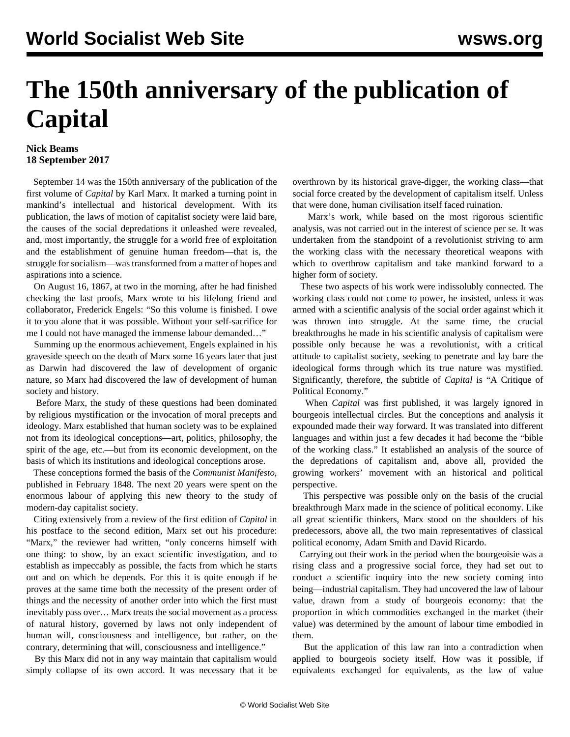## **The 150th anniversary of the publication of Capital**

## **Nick Beams 18 September 2017**

 September 14 was the 150th anniversary of the publication of the first volume of *Capital* by Karl Marx. It marked a turning point in mankind's intellectual and historical development. With its publication, the laws of motion of capitalist society were laid bare, the causes of the social depredations it unleashed were revealed, and, most importantly, the struggle for a world free of exploitation and the establishment of genuine human freedom—that is, the struggle for socialism—was transformed from a matter of hopes and aspirations into a science.

 On August 16, 1867, at two in the morning, after he had finished checking the last proofs, Marx wrote to his lifelong friend and collaborator, Frederick Engels: "So this volume is finished. I owe it to you alone that it was possible. Without your self-sacrifice for me I could not have managed the immense labour demanded…"

 Summing up the enormous achievement, Engels explained in his graveside speech on the death of Marx some 16 years later that just as Darwin had discovered the law of development of organic nature, so Marx had discovered the law of development of human society and history.

 Before Marx, the study of these questions had been dominated by religious mystification or the invocation of moral precepts and ideology. Marx established that human society was to be explained not from its ideological conceptions—art, politics, philosophy, the spirit of the age, etc.—but from its economic development, on the basis of which its institutions and ideological conceptions arose.

 These conceptions formed the basis of the *Communist Manifesto*, published in February 1848. The next 20 years were spent on the enormous labour of applying this new theory to the study of modern-day capitalist society.

 Citing extensively from a review of the first edition of *Capital* in his postface to the second edition, Marx set out his procedure: "Marx," the reviewer had written, "only concerns himself with one thing: to show, by an exact scientific investigation, and to establish as impeccably as possible, the facts from which he starts out and on which he depends. For this it is quite enough if he proves at the same time both the necessity of the present order of things and the necessity of another order into which the first must inevitably pass over… Marx treats the social movement as a process of natural history, governed by laws not only independent of human will, consciousness and intelligence, but rather, on the contrary, determining that will, consciousness and intelligence."

 By this Marx did not in any way maintain that capitalism would simply collapse of its own accord. It was necessary that it be overthrown by its historical grave-digger, the working class—that social force created by the development of capitalism itself. Unless that were done, human civilisation itself faced ruination.

 Marx's work, while based on the most rigorous scientific analysis, was not carried out in the interest of science per se. It was undertaken from the standpoint of a revolutionist striving to arm the working class with the necessary theoretical weapons with which to overthrow capitalism and take mankind forward to a higher form of society.

 These two aspects of his work were indissolubly connected. The working class could not come to power, he insisted, unless it was armed with a scientific analysis of the social order against which it was thrown into struggle. At the same time, the crucial breakthroughs he made in his scientific analysis of capitalism were possible only because he was a revolutionist, with a critical attitude to capitalist society, seeking to penetrate and lay bare the ideological forms through which its true nature was mystified. Significantly, therefore, the subtitle of *Capital* is "A Critique of Political Economy."

 When *Capital* was first published, it was largely ignored in bourgeois intellectual circles. But the conceptions and analysis it expounded made their way forward. It was translated into different languages and within just a few decades it had become the "bible of the working class." It established an analysis of the source of the depredations of capitalism and, above all, provided the growing workers' movement with an historical and political perspective.

 This perspective was possible only on the basis of the crucial breakthrough Marx made in the science of political economy. Like all great scientific thinkers, Marx stood on the shoulders of his predecessors, above all, the two main representatives of classical political economy, Adam Smith and David Ricardo.

 Carrying out their work in the period when the bourgeoisie was a rising class and a progressive social force, they had set out to conduct a scientific inquiry into the new society coming into being—industrial capitalism. They had uncovered the law of labour value, drawn from a study of bourgeois economy: that the proportion in which commodities exchanged in the market (their value) was determined by the amount of labour time embodied in them.

 But the application of this law ran into a contradiction when applied to bourgeois society itself. How was it possible, if equivalents exchanged for equivalents, as the law of value